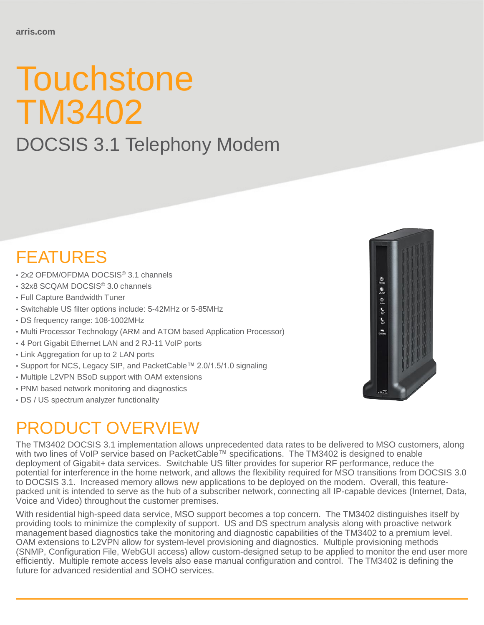# **Touchstone** TM3402

## DOCSIS 3.1 Telephony Modem

### FEATURES

- 2x2 OFDM/OFDMA DOCSIS© 3.1 channels
- 32x8 SCQAM DOCSIS© 3.0 channels
- Full Capture Bandwidth Tuner
- Switchable US filter options include: 5-42MHz or 5-85MHz
- DS frequency range: 108-1002MHz
- Multi Processor Technology (ARM and ATOM based Application Processor)
- 4 Port Gigabit Ethernet LAN and 2 RJ-11 VoIP ports
- Link Aggregation for up to 2 LAN ports
- Support for NCS, Legacy SIP, and PacketCable™ 2.0/1.5/1.0 signaling
- Multiple L2VPN BSoD support with OAM extensions
- PNM based network monitoring and diagnostics
- DS / US spectrum analyzer functionality

### PRODUCT OVERVIEW

The TM3402 DOCSIS 3.1 implementation allows unprecedented data rates to be delivered to MSO customers, along with two lines of VoIP service based on PacketCable™ specifications. The TM3402 is designed to enable deployment of Gigabit+ data services. Switchable US filter provides for superior RF performance, reduce the potential for interference in the home network, and allows the flexibility required for MSO transitions from DOCSIS 3.0 to DOCSIS 3.1. Increased memory allows new applications to be deployed on the modem. Overall, this featurepacked unit is intended to serve as the hub of a subscriber network, connecting all IP-capable devices (Internet, Data, Voice and Video) throughout the customer premises.

With residential high-speed data service, MSO support becomes a top concern. The TM3402 distinguishes itself by providing tools to minimize the complexity of support. US and DS spectrum analysis along with proactive network management based diagnostics take the monitoring and diagnostic capabilities of the TM3402 to a premium level. OAM extensions to L2VPN allow for system-level provisioning and diagnostics. Multiple provisioning methods (SNMP, Configuration File, WebGUI access) allow custom-designed setup to be applied to monitor the end user more efficiently. Multiple remote access levels also ease manual configuration and control. The TM3402 is defining the future for advanced residential and SOHO services.